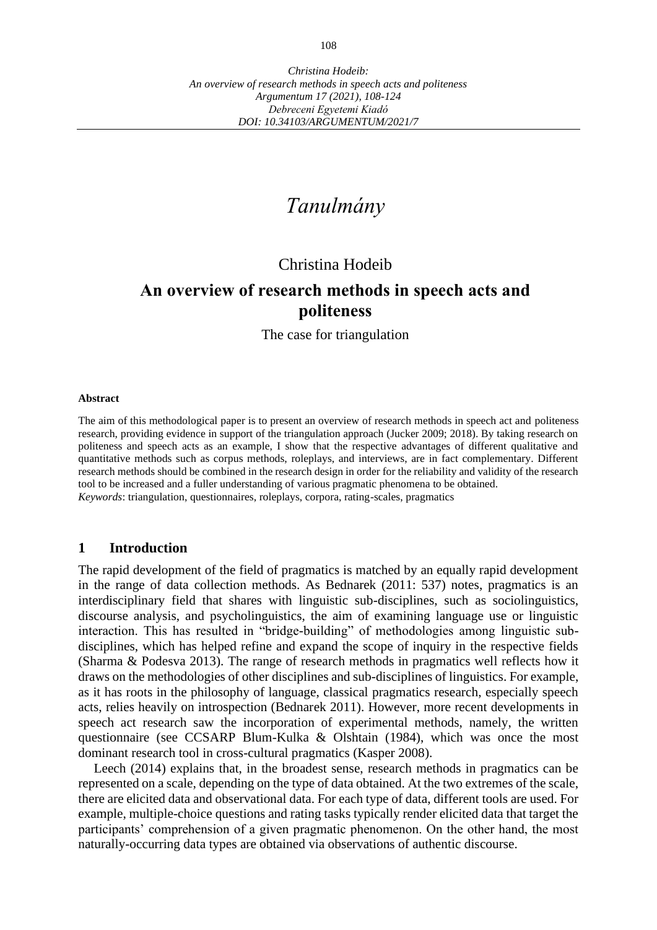# *Tanulmány*

# Christina Hodeib

# **An overview of research methods in speech acts and politeness**

The case for triangulation

#### **Abstract**

The aim of this methodological paper is to present an overview of research methods in speech act and politeness research, providing evidence in support of the triangulation approach (Jucker 2009; 2018). By taking research on politeness and speech acts as an example, I show that the respective advantages of different qualitative and quantitative methods such as corpus methods, roleplays, and interviews, are in fact complementary. Different research methods should be combined in the research design in order for the reliability and validity of the research tool to be increased and a fuller understanding of various pragmatic phenomena to be obtained. *Keywords*: triangulation, questionnaires, roleplays, corpora, rating-scales, pragmatics

#### **1 Introduction**

The rapid development of the field of pragmatics is matched by an equally rapid development in the range of data collection methods. As Bednarek (2011: 537) notes, pragmatics is an interdisciplinary field that shares with linguistic sub-disciplines, such as sociolinguistics, discourse analysis, and psycholinguistics, the aim of examining language use or linguistic interaction. This has resulted in "bridge-building" of methodologies among linguistic subdisciplines, which has helped refine and expand the scope of inquiry in the respective fields (Sharma & Podesva 2013). The range of research methods in pragmatics well reflects how it draws on the methodologies of other disciplines and sub-disciplines of linguistics. For example, as it has roots in the philosophy of language, classical pragmatics research, especially speech acts, relies heavily on introspection (Bednarek 2011). However, more recent developments in speech act research saw the incorporation of experimental methods, namely, the written questionnaire (see CCSARP Blum-Kulka & Olshtain (1984), which was once the most dominant research tool in cross-cultural pragmatics (Kasper 2008).

Leech (2014) explains that, in the broadest sense, research methods in pragmatics can be represented on a scale, depending on the type of data obtained. At the two extremes of the scale, there are elicited data and observational data. For each type of data, different tools are used. For example, multiple-choice questions and rating tasks typically render elicited data that target the participants' comprehension of a given pragmatic phenomenon. On the other hand, the most naturally-occurring data types are obtained via observations of authentic discourse.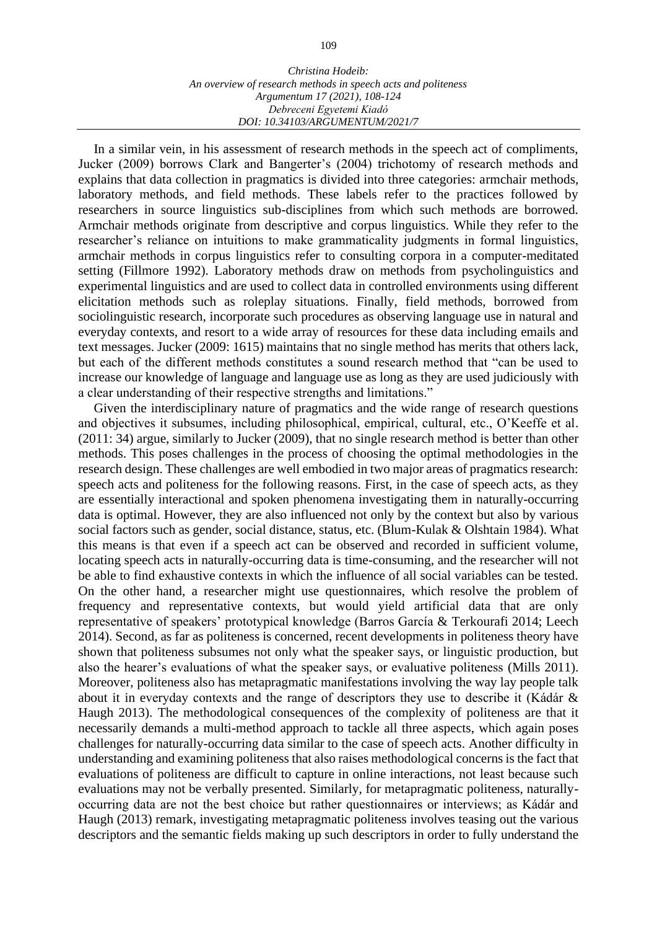In a similar vein, in his assessment of research methods in the speech act of compliments, Jucker (2009) borrows Clark and Bangerter's (2004) trichotomy of research methods and explains that data collection in pragmatics is divided into three categories: armchair methods, laboratory methods, and field methods. These labels refer to the practices followed by researchers in source linguistics sub-disciplines from which such methods are borrowed. Armchair methods originate from descriptive and corpus linguistics. While they refer to the researcher's reliance on intuitions to make grammaticality judgments in formal linguistics, armchair methods in corpus linguistics refer to consulting corpora in a computer-meditated setting (Fillmore 1992). Laboratory methods draw on methods from psycholinguistics and experimental linguistics and are used to collect data in controlled environments using different elicitation methods such as roleplay situations. Finally, field methods, borrowed from sociolinguistic research, incorporate such procedures as observing language use in natural and everyday contexts, and resort to a wide array of resources for these data including emails and text messages. Jucker (2009: 1615) maintains that no single method has merits that others lack, but each of the different methods constitutes a sound research method that "can be used to increase our knowledge of language and language use as long as they are used judiciously with a clear understanding of their respective strengths and limitations."

Given the interdisciplinary nature of pragmatics and the wide range of research questions and objectives it subsumes, including philosophical, empirical, cultural, etc., O'Keeffe et al. (2011: 34) argue, similarly to Jucker (2009), that no single research method is better than other methods. This poses challenges in the process of choosing the optimal methodologies in the research design. These challenges are well embodied in two major areas of pragmatics research: speech acts and politeness for the following reasons. First, in the case of speech acts, as they are essentially interactional and spoken phenomena investigating them in naturally-occurring data is optimal. However, they are also influenced not only by the context but also by various social factors such as gender, social distance, status, etc. (Blum-Kulak & Olshtain 1984). What this means is that even if a speech act can be observed and recorded in sufficient volume, locating speech acts in naturally-occurring data is time-consuming, and the researcher will not be able to find exhaustive contexts in which the influence of all social variables can be tested. On the other hand, a researcher might use questionnaires, which resolve the problem of frequency and representative contexts, but would yield artificial data that are only representative of speakers' prototypical knowledge (Barros García & Terkourafi 2014; Leech 2014). Second, as far as politeness is concerned, recent developments in politeness theory have shown that politeness subsumes not only what the speaker says, or linguistic production, but also the hearer's evaluations of what the speaker says, or evaluative politeness (Mills 2011). Moreover, politeness also has metapragmatic manifestations involving the way lay people talk about it in everyday contexts and the range of descriptors they use to describe it (Kádár & Haugh 2013). The methodological consequences of the complexity of politeness are that it necessarily demands a multi-method approach to tackle all three aspects, which again poses challenges for naturally-occurring data similar to the case of speech acts. Another difficulty in understanding and examining politeness that also raises methodological concerns is the fact that evaluations of politeness are difficult to capture in online interactions, not least because such evaluations may not be verbally presented. Similarly, for metapragmatic politeness, naturallyoccurring data are not the best choice but rather questionnaires or interviews; as Kádár and Haugh (2013) remark, investigating metapragmatic politeness involves teasing out the various descriptors and the semantic fields making up such descriptors in order to fully understand the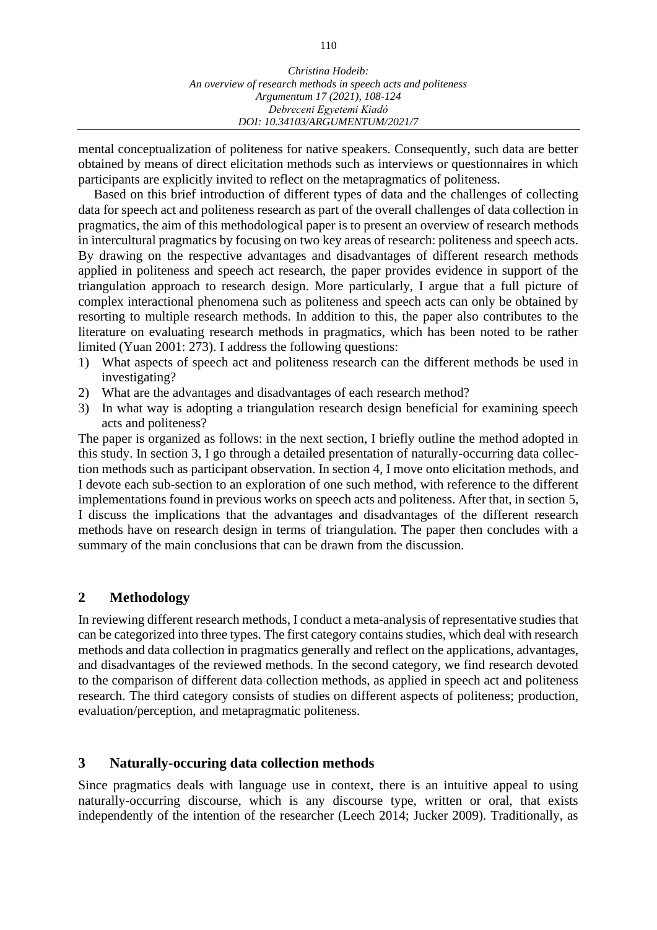mental conceptualization of politeness for native speakers. Consequently, such data are better obtained by means of direct elicitation methods such as interviews or questionnaires in which participants are explicitly invited to reflect on the metapragmatics of politeness.

Based on this brief introduction of different types of data and the challenges of collecting data for speech act and politeness research as part of the overall challenges of data collection in pragmatics, the aim of this methodological paper is to present an overview of research methods in intercultural pragmatics by focusing on two key areas of research: politeness and speech acts. By drawing on the respective advantages and disadvantages of different research methods applied in politeness and speech act research, the paper provides evidence in support of the triangulation approach to research design. More particularly, I argue that a full picture of complex interactional phenomena such as politeness and speech acts can only be obtained by resorting to multiple research methods. In addition to this, the paper also contributes to the literature on evaluating research methods in pragmatics, which has been noted to be rather limited (Yuan 2001: 273). I address the following questions:

- 1) What aspects of speech act and politeness research can the different methods be used in investigating?
- 2) What are the advantages and disadvantages of each research method?
- 3) In what way is adopting a triangulation research design beneficial for examining speech acts and politeness?

The paper is organized as follows: in the next section, I briefly outline the method adopted in this study. In section 3, I go through a detailed presentation of naturally-occurring data collection methods such as participant observation. In section 4, I move onto elicitation methods, and I devote each sub-section to an exploration of one such method, with reference to the different implementations found in previous works on speech acts and politeness. After that, in section 5, I discuss the implications that the advantages and disadvantages of the different research methods have on research design in terms of triangulation. The paper then concludes with a summary of the main conclusions that can be drawn from the discussion.

# **2 Methodology**

In reviewing different research methods, I conduct a meta-analysis of representative studies that can be categorized into three types. The first category contains studies, which deal with research methods and data collection in pragmatics generally and reflect on the applications, advantages, and disadvantages of the reviewed methods. In the second category, we find research devoted to the comparison of different data collection methods, as applied in speech act and politeness research. The third category consists of studies on different aspects of politeness; production, evaluation/perception, and metapragmatic politeness.

# **3 Naturally-occuring data collection methods**

Since pragmatics deals with language use in context, there is an intuitive appeal to using naturally-occurring discourse, which is any discourse type, written or oral, that exists independently of the intention of the researcher (Leech 2014; Jucker 2009). Traditionally, as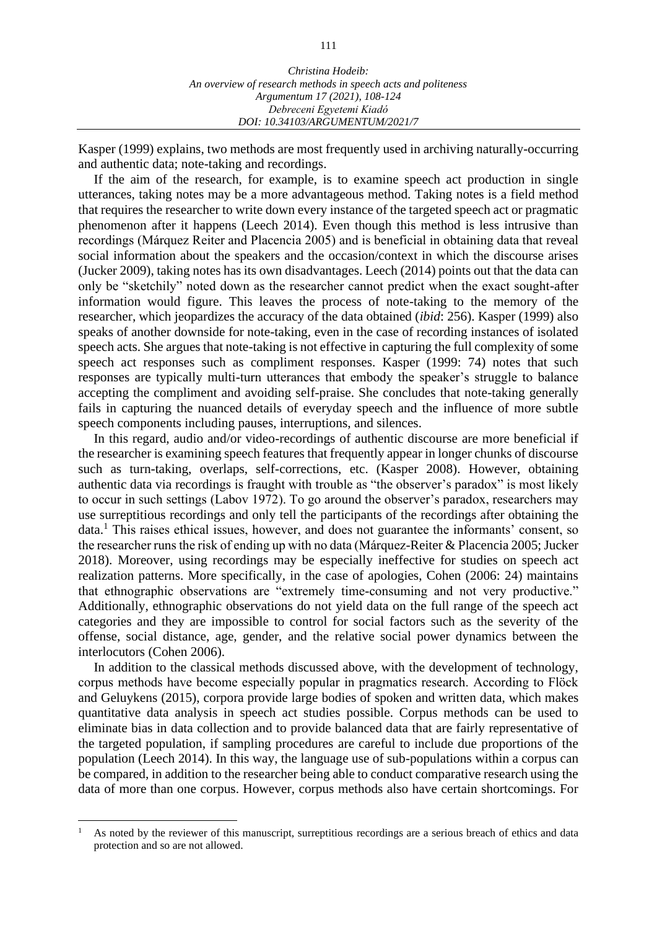Kasper (1999) explains, two methods are most frequently used in archiving naturally-occurring and authentic data; note-taking and recordings.

If the aim of the research, for example, is to examine speech act production in single utterances, taking notes may be a more advantageous method. Taking notes is a field method that requires the researcher to write down every instance of the targeted speech act or pragmatic phenomenon after it happens (Leech 2014). Even though this method is less intrusive than recordings (Márquez Reiter and Placencia 2005) and is beneficial in obtaining data that reveal social information about the speakers and the occasion/context in which the discourse arises (Jucker 2009), taking notes has its own disadvantages. Leech (2014) points out that the data can only be "sketchily" noted down as the researcher cannot predict when the exact sought-after information would figure. This leaves the process of note-taking to the memory of the researcher, which jeopardizes the accuracy of the data obtained (*ibid*: 256). Kasper (1999) also speaks of another downside for note-taking, even in the case of recording instances of isolated speech acts. She argues that note-taking is not effective in capturing the full complexity of some speech act responses such as compliment responses. Kasper (1999: 74) notes that such responses are typically multi-turn utterances that embody the speaker's struggle to balance accepting the compliment and avoiding self-praise. She concludes that note-taking generally fails in capturing the nuanced details of everyday speech and the influence of more subtle speech components including pauses, interruptions, and silences.

In this regard, audio and/or video-recordings of authentic discourse are more beneficial if the researcher is examining speech features that frequently appear in longer chunks of discourse such as turn-taking, overlaps, self-corrections, etc. (Kasper 2008). However, obtaining authentic data via recordings is fraught with trouble as "the observer's paradox" is most likely to occur in such settings (Labov 1972). To go around the observer's paradox, researchers may use surreptitious recordings and only tell the participants of the recordings after obtaining the data.<sup>1</sup> This raises ethical issues, however, and does not guarantee the informants' consent, so the researcher runs the risk of ending up with no data (Márquez-Reiter & Placencia 2005; Jucker 2018). Moreover, using recordings may be especially ineffective for studies on speech act realization patterns. More specifically, in the case of apologies, Cohen (2006: 24) maintains that ethnographic observations are "extremely time-consuming and not very productive." Additionally, ethnographic observations do not yield data on the full range of the speech act categories and they are impossible to control for social factors such as the severity of the offense, social distance, age, gender, and the relative social power dynamics between the interlocutors (Cohen 2006).

In addition to the classical methods discussed above, with the development of technology, corpus methods have become especially popular in pragmatics research. According to Flöck and Geluykens (2015), corpora provide large bodies of spoken and written data, which makes quantitative data analysis in speech act studies possible. Corpus methods can be used to eliminate bias in data collection and to provide balanced data that are fairly representative of the targeted population, if sampling procedures are careful to include due proportions of the population (Leech 2014). In this way, the language use of sub-populations within a corpus can be compared, in addition to the researcher being able to conduct comparative research using the data of more than one corpus. However, corpus methods also have certain shortcomings. For

<sup>1</sup>As noted by the reviewer of this manuscript, surreptitious recordings are a serious breach of ethics and data protection and so are not allowed.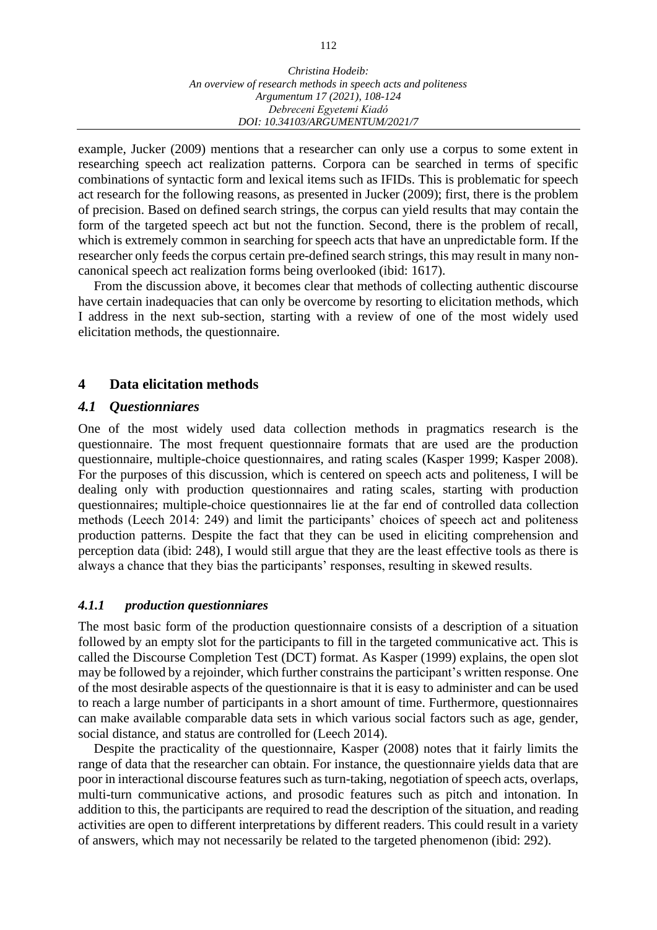example, Jucker (2009) mentions that a researcher can only use a corpus to some extent in researching speech act realization patterns. Corpora can be searched in terms of specific combinations of syntactic form and lexical items such as IFIDs. This is problematic for speech act research for the following reasons, as presented in Jucker (2009); first, there is the problem of precision. Based on defined search strings, the corpus can yield results that may contain the form of the targeted speech act but not the function. Second, there is the problem of recall, which is extremely common in searching for speech acts that have an unpredictable form. If the researcher only feeds the corpus certain pre-defined search strings, this may result in many noncanonical speech act realization forms being overlooked (ibid: 1617).

From the discussion above, it becomes clear that methods of collecting authentic discourse have certain inadequacies that can only be overcome by resorting to elicitation methods, which I address in the next sub-section, starting with a review of one of the most widely used elicitation methods, the questionnaire.

### **4 Data elicitation methods**

#### *4.1 Questionniares*

One of the most widely used data collection methods in pragmatics research is the questionnaire. The most frequent questionnaire formats that are used are the production questionnaire, multiple-choice questionnaires, and rating scales (Kasper 1999; Kasper 2008). For the purposes of this discussion, which is centered on speech acts and politeness, I will be dealing only with production questionnaires and rating scales, starting with production questionnaires; multiple-choice questionnaires lie at the far end of controlled data collection methods (Leech 2014: 249) and limit the participants' choices of speech act and politeness production patterns. Despite the fact that they can be used in eliciting comprehension and perception data (ibid: 248), I would still argue that they are the least effective tools as there is always a chance that they bias the participants' responses, resulting in skewed results.

#### *4.1.1 production questionniares*

The most basic form of the production questionnaire consists of a description of a situation followed by an empty slot for the participants to fill in the targeted communicative act. This is called the Discourse Completion Test (DCT) format. As Kasper (1999) explains, the open slot may be followed by a rejoinder, which further constrains the participant's written response. One of the most desirable aspects of the questionnaire is that it is easy to administer and can be used to reach a large number of participants in a short amount of time. Furthermore, questionnaires can make available comparable data sets in which various social factors such as age, gender, social distance, and status are controlled for (Leech 2014).

Despite the practicality of the questionnaire, Kasper (2008) notes that it fairly limits the range of data that the researcher can obtain. For instance, the questionnaire yields data that are poor in interactional discourse features such as turn-taking, negotiation of speech acts, overlaps, multi-turn communicative actions, and prosodic features such as pitch and intonation. In addition to this, the participants are required to read the description of the situation, and reading activities are open to different interpretations by different readers. This could result in a variety of answers, which may not necessarily be related to the targeted phenomenon (ibid: 292).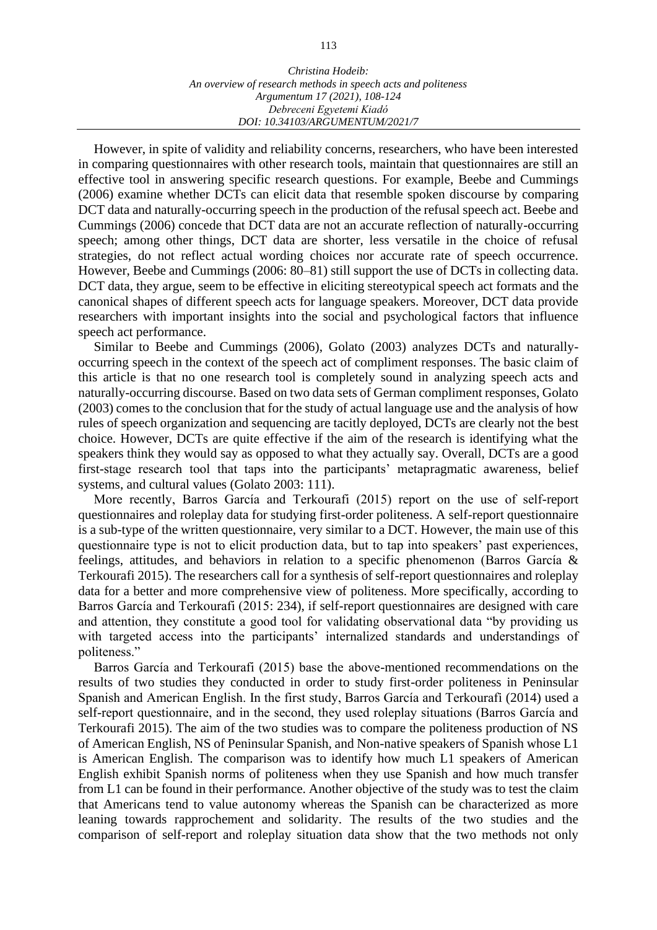However, in spite of validity and reliability concerns, researchers, who have been interested in comparing questionnaires with other research tools, maintain that questionnaires are still an effective tool in answering specific research questions. For example, Beebe and Cummings (2006) examine whether DCTs can elicit data that resemble spoken discourse by comparing DCT data and naturally-occurring speech in the production of the refusal speech act. Beebe and Cummings (2006) concede that DCT data are not an accurate reflection of naturally-occurring speech; among other things, DCT data are shorter, less versatile in the choice of refusal strategies, do not reflect actual wording choices nor accurate rate of speech occurrence. However, Beebe and Cummings (2006: 80–81) still support the use of DCTs in collecting data. DCT data, they argue, seem to be effective in eliciting stereotypical speech act formats and the canonical shapes of different speech acts for language speakers. Moreover, DCT data provide researchers with important insights into the social and psychological factors that influence speech act performance.

Similar to Beebe and Cummings (2006), Golato (2003) analyzes DCTs and naturallyoccurring speech in the context of the speech act of compliment responses. The basic claim of this article is that no one research tool is completely sound in analyzing speech acts and naturally-occurring discourse. Based on two data sets of German compliment responses, Golato (2003) comes to the conclusion that for the study of actual language use and the analysis of how rules of speech organization and sequencing are tacitly deployed, DCTs are clearly not the best choice. However, DCTs are quite effective if the aim of the research is identifying what the speakers think they would say as opposed to what they actually say. Overall, DCTs are a good first-stage research tool that taps into the participants' metapragmatic awareness, belief systems, and cultural values (Golato 2003: 111).

More recently, Barros García and Terkourafi (2015) report on the use of self-report questionnaires and roleplay data for studying first-order politeness. A self-report questionnaire is a sub-type of the written questionnaire, very similar to a DCT. However, the main use of this questionnaire type is not to elicit production data, but to tap into speakers' past experiences, feelings, attitudes, and behaviors in relation to a specific phenomenon (Barros García & Terkourafi 2015). The researchers call for a synthesis of self-report questionnaires and roleplay data for a better and more comprehensive view of politeness. More specifically, according to Barros García and Terkourafi (2015: 234), if self-report questionnaires are designed with care and attention, they constitute a good tool for validating observational data "by providing us with targeted access into the participants' internalized standards and understandings of politeness."

Barros García and Terkourafi (2015) base the above-mentioned recommendations on the results of two studies they conducted in order to study first-order politeness in Peninsular Spanish and American English. In the first study, Barros García and Terkourafi (2014) used a self-report questionnaire, and in the second, they used roleplay situations (Barros García and Terkourafi 2015). The aim of the two studies was to compare the politeness production of NS of American English, NS of Peninsular Spanish, and Non-native speakers of Spanish whose L1 is American English. The comparison was to identify how much L1 speakers of American English exhibit Spanish norms of politeness when they use Spanish and how much transfer from L1 can be found in their performance. Another objective of the study was to test the claim that Americans tend to value autonomy whereas the Spanish can be characterized as more leaning towards rapprochement and solidarity. The results of the two studies and the comparison of self-report and roleplay situation data show that the two methods not only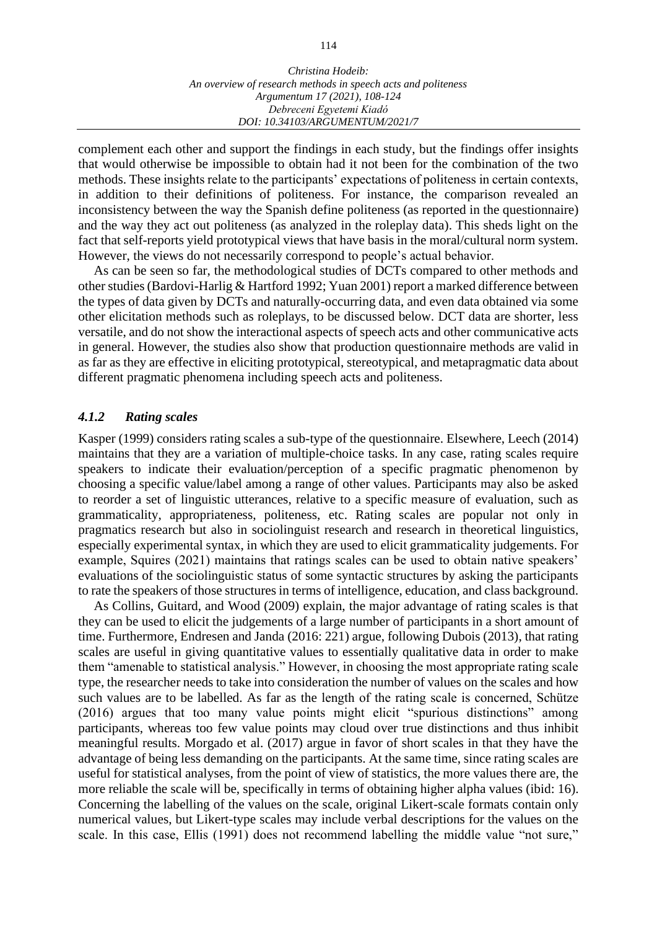complement each other and support the findings in each study, but the findings offer insights that would otherwise be impossible to obtain had it not been for the combination of the two methods. These insights relate to the participants' expectations of politeness in certain contexts, in addition to their definitions of politeness. For instance, the comparison revealed an inconsistency between the way the Spanish define politeness (as reported in the questionnaire) and the way they act out politeness (as analyzed in the roleplay data). This sheds light on the fact that self-reports yield prototypical views that have basis in the moral/cultural norm system. However, the views do not necessarily correspond to people's actual behavior.

As can be seen so far, the methodological studies of DCTs compared to other methods and other studies (Bardovi-Harlig & Hartford 1992; Yuan 2001) report a marked difference between the types of data given by DCTs and naturally-occurring data, and even data obtained via some other elicitation methods such as roleplays, to be discussed below. DCT data are shorter, less versatile, and do not show the interactional aspects of speech acts and other communicative acts in general. However, the studies also show that production questionnaire methods are valid in as far as they are effective in eliciting prototypical, stereotypical, and metapragmatic data about different pragmatic phenomena including speech acts and politeness.

#### *4.1.2 Rating scales*

Kasper (1999) considers rating scales a sub-type of the questionnaire. Elsewhere, Leech (2014) maintains that they are a variation of multiple-choice tasks. In any case, rating scales require speakers to indicate their evaluation/perception of a specific pragmatic phenomenon by choosing a specific value/label among a range of other values. Participants may also be asked to reorder a set of linguistic utterances, relative to a specific measure of evaluation, such as grammaticality, appropriateness, politeness, etc. Rating scales are popular not only in pragmatics research but also in sociolinguist research and research in theoretical linguistics, especially experimental syntax, in which they are used to elicit grammaticality judgements. For example, Squires (2021) maintains that ratings scales can be used to obtain native speakers' evaluations of the sociolinguistic status of some syntactic structures by asking the participants to rate the speakers of those structures in terms of intelligence, education, and class background.

As Collins, Guitard, and Wood (2009) explain, the major advantage of rating scales is that they can be used to elicit the judgements of a large number of participants in a short amount of time. Furthermore, Endresen and Janda (2016: 221) argue, following Dubois (2013), that rating scales are useful in giving quantitative values to essentially qualitative data in order to make them "amenable to statistical analysis." However, in choosing the most appropriate rating scale type, the researcher needs to take into consideration the number of values on the scales and how such values are to be labelled. As far as the length of the rating scale is concerned, Schütze (2016) argues that too many value points might elicit "spurious distinctions" among participants, whereas too few value points may cloud over true distinctions and thus inhibit meaningful results. Morgado et al. (2017) argue in favor of short scales in that they have the advantage of being less demanding on the participants. At the same time, since rating scales are useful for statistical analyses, from the point of view of statistics, the more values there are, the more reliable the scale will be, specifically in terms of obtaining higher alpha values (ibid: 16). Concerning the labelling of the values on the scale, original Likert-scale formats contain only numerical values, but Likert-type scales may include verbal descriptions for the values on the scale. In this case, Ellis (1991) does not recommend labelling the middle value "not sure,"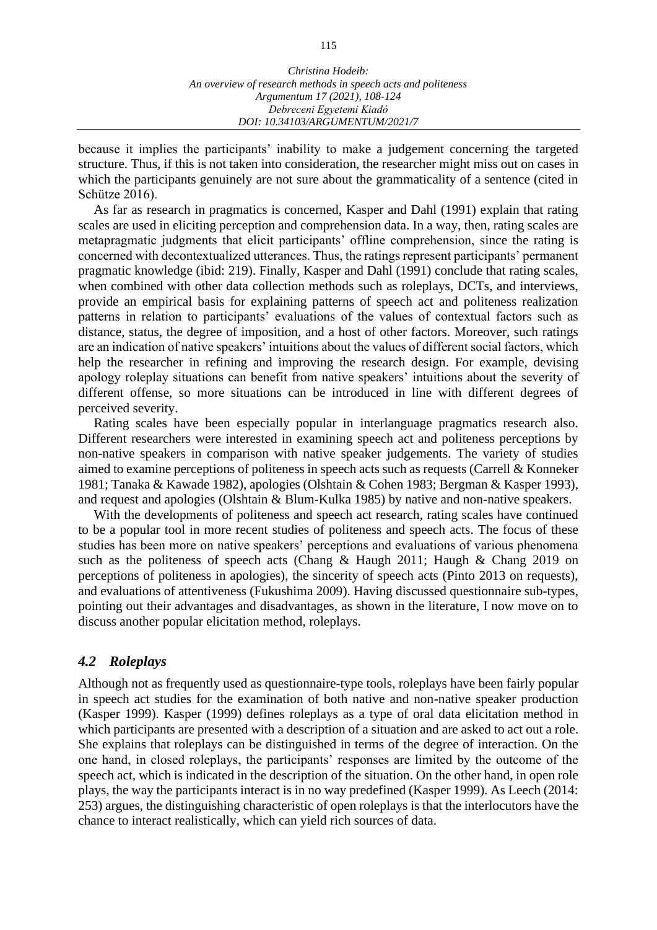because it implies the participants' inability to make a judgement concerning the targeted structure. Thus, if this is not taken into consideration, the researcher might miss out on cases in which the participants genuinely are not sure about the grammaticality of a sentence (cited in Schütze 2016).

As far as research in pragmatics is concerned, Kasper and Dahl (1991) explain that rating scales are used in eliciting perception and comprehension data. In a way, then, rating scales are metapragmatic judgments that elicit participants' offline comprehension, since the rating is concerned with decontextualized utterances. Thus, the ratings represent participants' permanent pragmatic knowledge (ibid: 219). Finally, Kasper and Dahl (1991) conclude that rating scales, when combined with other data collection methods such as roleplays, DCTs, and interviews, provide an empirical basis for explaining patterns of speech act and politeness realization patterns in relation to participants' evaluations of the values of contextual factors such as distance, status, the degree of imposition, and a host of other factors. Moreover, such ratings are an indication of native speakers' intuitions about the values of different social factors, which help the researcher in refining and improving the research design. For example, devising apology roleplay situations can benefit from native speakers' intuitions about the severity of different offense, so more situations can be introduced in line with different degrees of perceived severity.

Rating scales have been especially popular in interlanguage pragmatics research also. Different researchers were interested in examining speech act and politeness perceptions by non-native speakers in comparison with native speaker judgements. The variety of studies aimed to examine perceptions of politeness in speech acts such as requests (Carrell & Konneker 1981; Tanaka & Kawade 1982), apologies (Olshtain & Cohen 1983; Bergman & Kasper 1993), and request and apologies (Olshtain & Blum-Kulka 1985) by native and non-native speakers.

With the developments of politeness and speech act research, rating scales have continued to be a popular tool in more recent studies of politeness and speech acts. The focus of these studies has been more on native speakers' perceptions and evaluations of various phenomena such as the politeness of speech acts (Chang & Haugh 2011; Haugh & Chang 2019 on perceptions of politeness in apologies), the sincerity of speech acts (Pinto 2013 on requests), and evaluations of attentiveness (Fukushima 2009). Having discussed questionnaire sub-types, pointing out their advantages and disadvantages, as shown in the literature, I now move on to discuss another popular elicitation method, roleplays.

#### *4.2 Roleplays*

Although not as frequently used as questionnaire-type tools, roleplays have been fairly popular in speech act studies for the examination of both native and non-native speaker production (Kasper 1999). Kasper (1999) defines roleplays as a type of oral data elicitation method in which participants are presented with a description of a situation and are asked to act out a role. She explains that roleplays can be distinguished in terms of the degree of interaction. On the one hand, in closed roleplays, the participants' responses are limited by the outcome of the speech act, which is indicated in the description of the situation. On the other hand, in open role plays, the way the participants interact is in no way predefined (Kasper 1999). As Leech (2014: 253) argues, the distinguishing characteristic of open roleplays is that the interlocutors have the chance to interact realistically, which can yield rich sources of data.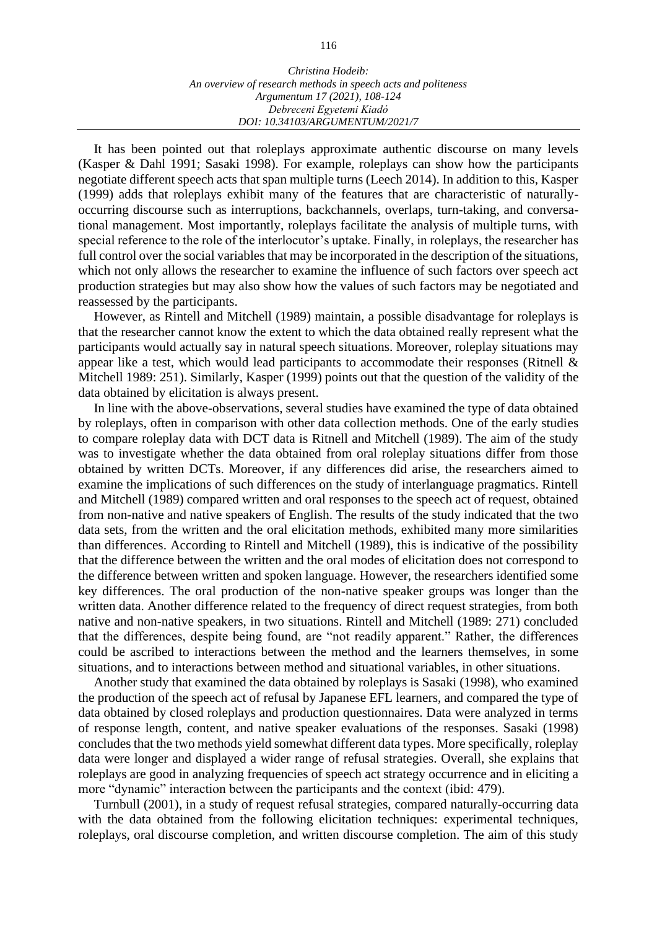It has been pointed out that roleplays approximate authentic discourse on many levels (Kasper & Dahl 1991; Sasaki 1998). For example, roleplays can show how the participants negotiate different speech acts that span multiple turns (Leech 2014). In addition to this, Kasper (1999) adds that roleplays exhibit many of the features that are characteristic of naturallyoccurring discourse such as interruptions, backchannels, overlaps, turn-taking, and conversational management. Most importantly, roleplays facilitate the analysis of multiple turns, with special reference to the role of the interlocutor's uptake. Finally, in roleplays, the researcher has full control over the social variables that may be incorporated in the description of the situations, which not only allows the researcher to examine the influence of such factors over speech act production strategies but may also show how the values of such factors may be negotiated and reassessed by the participants.

However, as Rintell and Mitchell (1989) maintain, a possible disadvantage for roleplays is that the researcher cannot know the extent to which the data obtained really represent what the participants would actually say in natural speech situations. Moreover, roleplay situations may appear like a test, which would lead participants to accommodate their responses (Ritnell & Mitchell 1989: 251). Similarly, Kasper (1999) points out that the question of the validity of the data obtained by elicitation is always present.

In line with the above-observations, several studies have examined the type of data obtained by roleplays, often in comparison with other data collection methods. One of the early studies to compare roleplay data with DCT data is Ritnell and Mitchell (1989). The aim of the study was to investigate whether the data obtained from oral roleplay situations differ from those obtained by written DCTs. Moreover, if any differences did arise, the researchers aimed to examine the implications of such differences on the study of interlanguage pragmatics. Rintell and Mitchell (1989) compared written and oral responses to the speech act of request, obtained from non-native and native speakers of English. The results of the study indicated that the two data sets, from the written and the oral elicitation methods, exhibited many more similarities than differences. According to Rintell and Mitchell (1989), this is indicative of the possibility that the difference between the written and the oral modes of elicitation does not correspond to the difference between written and spoken language. However, the researchers identified some key differences. The oral production of the non-native speaker groups was longer than the written data. Another difference related to the frequency of direct request strategies, from both native and non-native speakers, in two situations. Rintell and Mitchell (1989: 271) concluded that the differences, despite being found, are "not readily apparent." Rather, the differences could be ascribed to interactions between the method and the learners themselves, in some situations, and to interactions between method and situational variables, in other situations.

Another study that examined the data obtained by roleplays is Sasaki (1998), who examined the production of the speech act of refusal by Japanese EFL learners, and compared the type of data obtained by closed roleplays and production questionnaires. Data were analyzed in terms of response length, content, and native speaker evaluations of the responses. Sasaki (1998) concludes that the two methods yield somewhat different data types. More specifically, roleplay data were longer and displayed a wider range of refusal strategies. Overall, she explains that roleplays are good in analyzing frequencies of speech act strategy occurrence and in eliciting a more "dynamic" interaction between the participants and the context (ibid: 479).

Turnbull (2001), in a study of request refusal strategies, compared naturally-occurring data with the data obtained from the following elicitation techniques: experimental techniques, roleplays, oral discourse completion, and written discourse completion. The aim of this study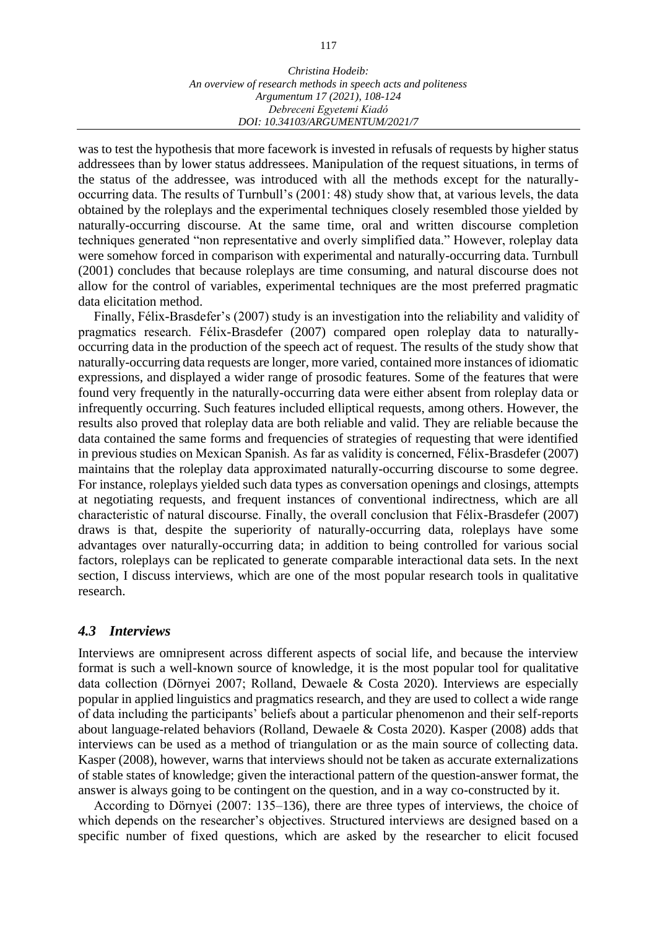was to test the hypothesis that more facework is invested in refusals of requests by higher status addressees than by lower status addressees. Manipulation of the request situations, in terms of the status of the addressee, was introduced with all the methods except for the naturallyoccurring data. The results of Turnbull's (2001: 48) study show that, at various levels, the data obtained by the roleplays and the experimental techniques closely resembled those yielded by naturally-occurring discourse. At the same time, oral and written discourse completion techniques generated "non representative and overly simplified data." However, roleplay data were somehow forced in comparison with experimental and naturally-occurring data. Turnbull (2001) concludes that because roleplays are time consuming, and natural discourse does not allow for the control of variables, experimental techniques are the most preferred pragmatic data elicitation method.

Finally, Félix-Brasdefer's (2007) study is an investigation into the reliability and validity of pragmatics research. Félix-Brasdefer (2007) compared open roleplay data to naturallyoccurring data in the production of the speech act of request. The results of the study show that naturally-occurring data requests are longer, more varied, contained more instances of idiomatic expressions, and displayed a wider range of prosodic features. Some of the features that were found very frequently in the naturally-occurring data were either absent from roleplay data or infrequently occurring. Such features included elliptical requests, among others. However, the results also proved that roleplay data are both reliable and valid. They are reliable because the data contained the same forms and frequencies of strategies of requesting that were identified in previous studies on Mexican Spanish. As far as validity is concerned, Félix-Brasdefer (2007) maintains that the roleplay data approximated naturally-occurring discourse to some degree. For instance, roleplays yielded such data types as conversation openings and closings, attempts at negotiating requests, and frequent instances of conventional indirectness, which are all characteristic of natural discourse. Finally, the overall conclusion that Félix-Brasdefer (2007) draws is that, despite the superiority of naturally-occurring data, roleplays have some advantages over naturally-occurring data; in addition to being controlled for various social factors, roleplays can be replicated to generate comparable interactional data sets. In the next section, I discuss interviews, which are one of the most popular research tools in qualitative research.

# *4.3 Interviews*

Interviews are omnipresent across different aspects of social life, and because the interview format is such a well-known source of knowledge, it is the most popular tool for qualitative data collection (Dörnyei 2007; Rolland, Dewaele & Costa 2020). Interviews are especially popular in applied linguistics and pragmatics research, and they are used to collect a wide range of data including the participants' beliefs about a particular phenomenon and their self-reports about language-related behaviors (Rolland, Dewaele & Costa 2020). Kasper (2008) adds that interviews can be used as a method of triangulation or as the main source of collecting data. Kasper (2008), however, warns that interviews should not be taken as accurate externalizations of stable states of knowledge; given the interactional pattern of the question-answer format, the answer is always going to be contingent on the question, and in a way co-constructed by it.

According to Dörnyei (2007: 135–136), there are three types of interviews, the choice of which depends on the researcher's objectives. Structured interviews are designed based on a specific number of fixed questions, which are asked by the researcher to elicit focused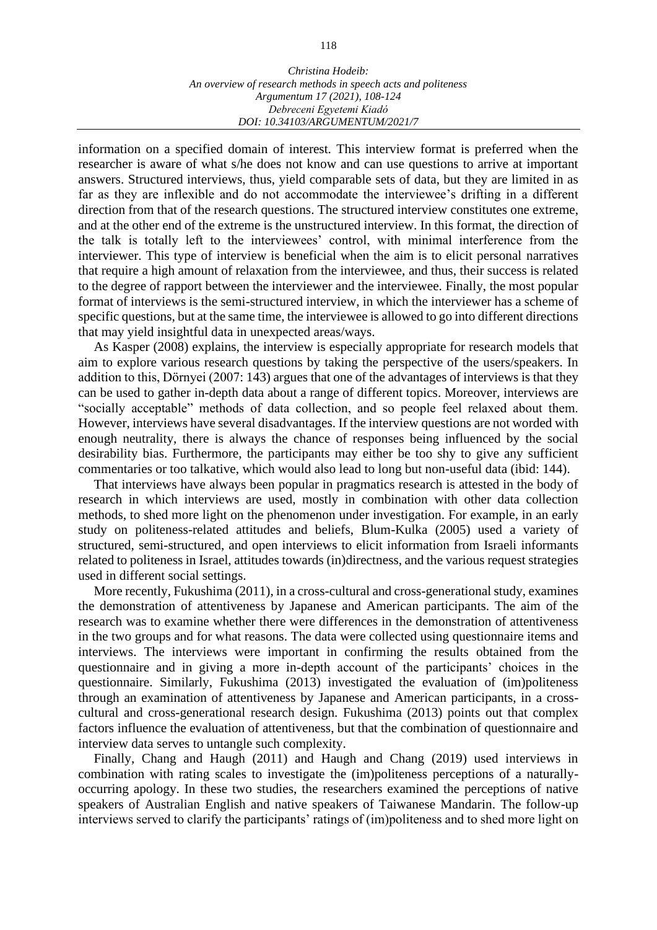information on a specified domain of interest. This interview format is preferred when the researcher is aware of what s/he does not know and can use questions to arrive at important answers. Structured interviews, thus, yield comparable sets of data, but they are limited in as far as they are inflexible and do not accommodate the interviewee's drifting in a different direction from that of the research questions. The structured interview constitutes one extreme, and at the other end of the extreme is the unstructured interview. In this format, the direction of the talk is totally left to the interviewees' control, with minimal interference from the interviewer. This type of interview is beneficial when the aim is to elicit personal narratives that require a high amount of relaxation from the interviewee, and thus, their success is related to the degree of rapport between the interviewer and the interviewee. Finally, the most popular format of interviews is the semi-structured interview, in which the interviewer has a scheme of specific questions, but at the same time, the interviewee is allowed to go into different directions that may yield insightful data in unexpected areas/ways.

As Kasper (2008) explains, the interview is especially appropriate for research models that aim to explore various research questions by taking the perspective of the users/speakers. In addition to this, Dörnyei (2007: 143) argues that one of the advantages of interviews is that they can be used to gather in-depth data about a range of different topics. Moreover, interviews are "socially acceptable" methods of data collection, and so people feel relaxed about them. However, interviews have several disadvantages. If the interview questions are not worded with enough neutrality, there is always the chance of responses being influenced by the social desirability bias. Furthermore, the participants may either be too shy to give any sufficient commentaries or too talkative, which would also lead to long but non-useful data (ibid: 144).

That interviews have always been popular in pragmatics research is attested in the body of research in which interviews are used, mostly in combination with other data collection methods, to shed more light on the phenomenon under investigation. For example, in an early study on politeness-related attitudes and beliefs, Blum-Kulka (2005) used a variety of structured, semi-structured, and open interviews to elicit information from Israeli informants related to politeness in Israel, attitudes towards (in)directness, and the various request strategies used in different social settings.

More recently, Fukushima (2011), in a cross-cultural and cross-generational study, examines the demonstration of attentiveness by Japanese and American participants. The aim of the research was to examine whether there were differences in the demonstration of attentiveness in the two groups and for what reasons. The data were collected using questionnaire items and interviews. The interviews were important in confirming the results obtained from the questionnaire and in giving a more in-depth account of the participants' choices in the questionnaire. Similarly, Fukushima (2013) investigated the evaluation of (im)politeness through an examination of attentiveness by Japanese and American participants, in a crosscultural and cross-generational research design. Fukushima (2013) points out that complex factors influence the evaluation of attentiveness, but that the combination of questionnaire and interview data serves to untangle such complexity.

Finally, Chang and Haugh (2011) and Haugh and Chang (2019) used interviews in combination with rating scales to investigate the (im)politeness perceptions of a naturallyoccurring apology. In these two studies, the researchers examined the perceptions of native speakers of Australian English and native speakers of Taiwanese Mandarin. The follow-up interviews served to clarify the participants' ratings of (im)politeness and to shed more light on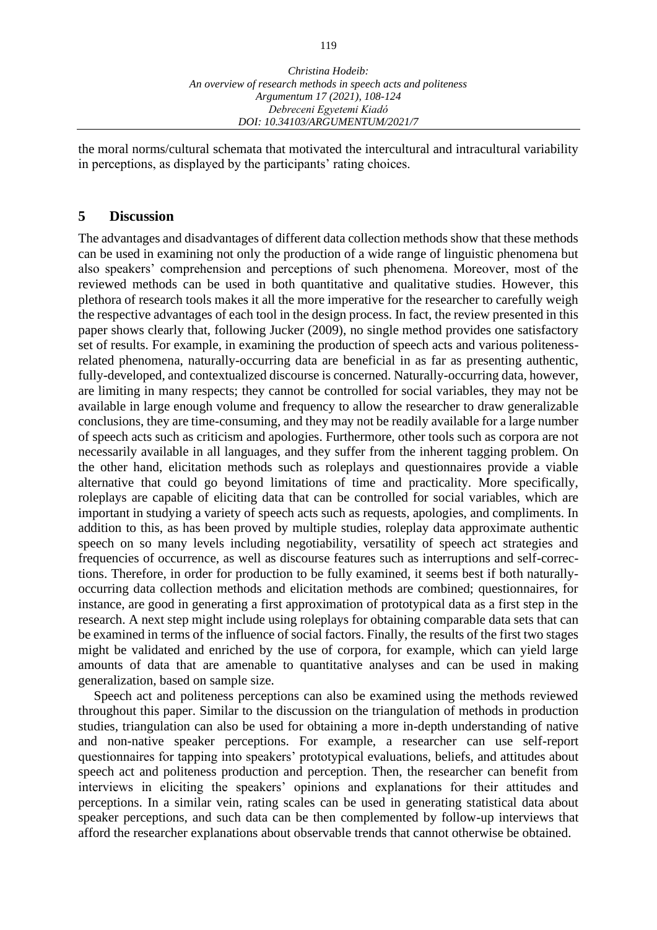the moral norms/cultural schemata that motivated the intercultural and intracultural variability in perceptions, as displayed by the participants' rating choices.

#### **5 Discussion**

The advantages and disadvantages of different data collection methods show that these methods can be used in examining not only the production of a wide range of linguistic phenomena but also speakers' comprehension and perceptions of such phenomena. Moreover, most of the reviewed methods can be used in both quantitative and qualitative studies. However, this plethora of research tools makes it all the more imperative for the researcher to carefully weigh the respective advantages of each tool in the design process. In fact, the review presented in this paper shows clearly that, following Jucker (2009), no single method provides one satisfactory set of results. For example, in examining the production of speech acts and various politenessrelated phenomena, naturally-occurring data are beneficial in as far as presenting authentic, fully-developed, and contextualized discourse is concerned. Naturally-occurring data, however, are limiting in many respects; they cannot be controlled for social variables, they may not be available in large enough volume and frequency to allow the researcher to draw generalizable conclusions, they are time-consuming, and they may not be readily available for a large number of speech acts such as criticism and apologies. Furthermore, other tools such as corpora are not necessarily available in all languages, and they suffer from the inherent tagging problem. On the other hand, elicitation methods such as roleplays and questionnaires provide a viable alternative that could go beyond limitations of time and practicality. More specifically, roleplays are capable of eliciting data that can be controlled for social variables, which are important in studying a variety of speech acts such as requests, apologies, and compliments. In addition to this, as has been proved by multiple studies, roleplay data approximate authentic speech on so many levels including negotiability, versatility of speech act strategies and frequencies of occurrence, as well as discourse features such as interruptions and self-corrections. Therefore, in order for production to be fully examined, it seems best if both naturallyoccurring data collection methods and elicitation methods are combined; questionnaires, for instance, are good in generating a first approximation of prototypical data as a first step in the research. A next step might include using roleplays for obtaining comparable data sets that can be examined in terms of the influence of social factors. Finally, the results of the first two stages might be validated and enriched by the use of corpora, for example, which can yield large amounts of data that are amenable to quantitative analyses and can be used in making generalization, based on sample size.

Speech act and politeness perceptions can also be examined using the methods reviewed throughout this paper. Similar to the discussion on the triangulation of methods in production studies, triangulation can also be used for obtaining a more in-depth understanding of native and non-native speaker perceptions. For example, a researcher can use self-report questionnaires for tapping into speakers' prototypical evaluations, beliefs, and attitudes about speech act and politeness production and perception. Then, the researcher can benefit from interviews in eliciting the speakers' opinions and explanations for their attitudes and perceptions. In a similar vein, rating scales can be used in generating statistical data about speaker perceptions, and such data can be then complemented by follow-up interviews that afford the researcher explanations about observable trends that cannot otherwise be obtained.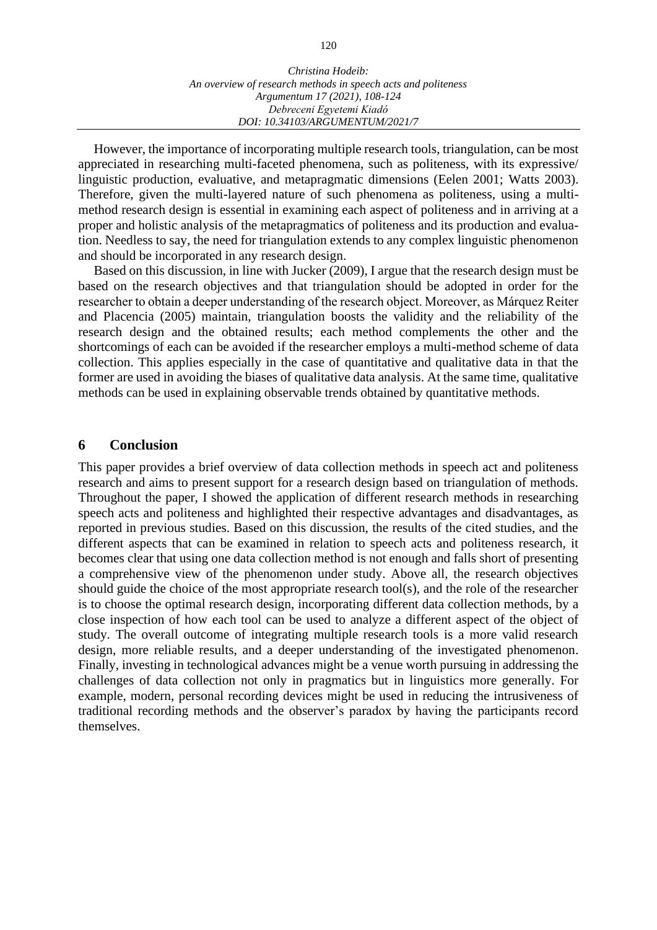However, the importance of incorporating multiple research tools, triangulation, can be most appreciated in researching multi-faceted phenomena, such as politeness, with its expressive/ linguistic production, evaluative, and metapragmatic dimensions (Eelen 2001; Watts 2003). Therefore, given the multi-layered nature of such phenomena as politeness, using a multimethod research design is essential in examining each aspect of politeness and in arriving at a proper and holistic analysis of the metapragmatics of politeness and its production and evaluation. Needless to say, the need for triangulation extends to any complex linguistic phenomenon and should be incorporated in any research design.

Based on this discussion, in line with Jucker (2009), I argue that the research design must be based on the research objectives and that triangulation should be adopted in order for the researcher to obtain a deeper understanding of the research object. Moreover, as Márquez Reiter and Placencia (2005) maintain, triangulation boosts the validity and the reliability of the research design and the obtained results; each method complements the other and the shortcomings of each can be avoided if the researcher employs a multi-method scheme of data collection. This applies especially in the case of quantitative and qualitative data in that the former are used in avoiding the biases of qualitative data analysis. At the same time, qualitative methods can be used in explaining observable trends obtained by quantitative methods.

#### **6 Conclusion**

This paper provides a brief overview of data collection methods in speech act and politeness research and aims to present support for a research design based on triangulation of methods. Throughout the paper, I showed the application of different research methods in researching speech acts and politeness and highlighted their respective advantages and disadvantages, as reported in previous studies. Based on this discussion, the results of the cited studies, and the different aspects that can be examined in relation to speech acts and politeness research, it becomes clear that using one data collection method is not enough and falls short of presenting a comprehensive view of the phenomenon under study. Above all, the research objectives should guide the choice of the most appropriate research tool(s), and the role of the researcher is to choose the optimal research design, incorporating different data collection methods, by a close inspection of how each tool can be used to analyze a different aspect of the object of study. The overall outcome of integrating multiple research tools is a more valid research design, more reliable results, and a deeper understanding of the investigated phenomenon. Finally, investing in technological advances might be a venue worth pursuing in addressing the challenges of data collection not only in pragmatics but in linguistics more generally. For example, modern, personal recording devices might be used in reducing the intrusiveness of traditional recording methods and the observer's paradox by having the participants record themselves.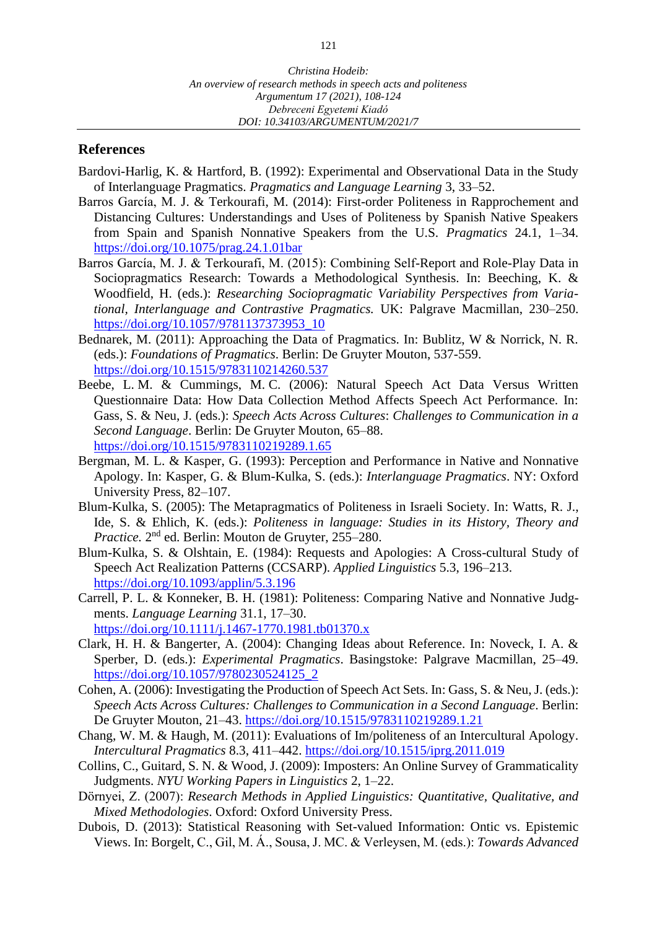*DOI: 10.34103/ARGUMENTUM/2021/7*

#### **References**

- Bardovi-Harlig, K. & Hartford, B. (1992): Experimental and Observational Data in the Study of Interlanguage Pragmatics. *Pragmatics and Language Learning* 3, 33–52.
- Barros García, M. J. & Terkourafi, M. (2014): First-order Politeness in Rapprochement and Distancing Cultures: Understandings and Uses of Politeness by Spanish Native Speakers from Spain and Spanish Nonnative Speakers from the U.S. *Pragmatics* 24.1, 1–34. <https://doi.org/10.1075/prag.24.1.01bar>
- Barros García, M. J. & Terkourafi, M. (2015): Combining Self-Report and Role-Play Data in Sociopragmatics Research: Towards a Methodological Synthesis. In: Beeching, K. & Woodfield, H. (eds.): *Researching Sociopragmatic Variability Perspectives from Variational, Interlanguage and Contrastive Pragmatics.* UK: Palgrave Macmillan, 230–250. [https://doi.org/10.1057/9781137373953\\_10](https://doi.org/10.1057/9781137373953_10)
- Bednarek, M. (2011): Approaching the Data of Pragmatics. In: Bublitz, W & Norrick, N. R. (eds.): *Foundations of Pragmatics*. Berlin: De Gruyter Mouton, 537-559. <https://doi.org/10.1515/9783110214260.537>
- Beebe, L. M. & Cummings, M. C. (2006): Natural Speech Act Data Versus Written Questionnaire Data: How Data Collection Method Affects Speech Act Performance. In: Gass, S. & Neu, J. (eds.): *Speech Acts Across Cultures*: *Challenges to Communication in a Second Language*. Berlin: De Gruyter Mouton, 65–88. <https://doi.org/10.1515/9783110219289.1.65>
- Bergman, M. L. & Kasper, G. (1993): Perception and Performance in Native and Nonnative Apology. In: Kasper, G. & Blum-Kulka, S. (eds.): *Interlanguage Pragmatics*. NY: Oxford University Press, 82–107.
- Blum-Kulka, S. (2005): The Metapragmatics of Politeness in Israeli Society. In: Watts, R. J., Ide, S. & Ehlich, K. (eds.): *Politeness in language: Studies in its History, Theory and*  Practice. 2<sup>nd</sup> ed. Berlin: Mouton de Gruyter, 255–280.
- Blum-Kulka, S. & Olshtain, E. (1984): Requests and Apologies: A Cross-cultural Study of Speech Act Realization Patterns (CCSARP). *Applied Linguistics* 5.3, 196–213. <https://doi.org/10.1093/applin/5.3.196>
- Carrell, P. L. & Konneker, B. H. (1981): Politeness: Comparing Native and Nonnative Judgments. *Language Learning* 31.1, 17–30. <https://doi.org/10.1111/j.1467-1770.1981.tb01370.x>
- Clark, H. H. & Bangerter, A. (2004): Changing Ideas about Reference. In: Noveck, I. A. & Sperber, D. (eds.): *Experimental Pragmatics*. Basingstoke: Palgrave Macmillan, 25–49. [https://doi.org/10.1057/9780230524125\\_2](https://doi.org/10.1057/9780230524125_2)
- Cohen, A. (2006): Investigating the Production of Speech Act Sets. In: Gass, S. & Neu, J. (eds.): *Speech Acts Across Cultures: Challenges to Communication in a Second Language*. Berlin: De Gruyter Mouton, 21–43.<https://doi.org/10.1515/9783110219289.1.21>
- Chang, W. M. & Haugh, M. (2011): Evaluations of Im/politeness of an Intercultural Apology. *Intercultural Pragmatics* 8.3, 411–442.<https://doi.org/10.1515/iprg.2011.019>
- Collins, C., Guitard, S. N. & Wood, J. (2009): Imposters: An Online Survey of Grammaticality Judgments. *NYU Working Papers in Linguistics* 2, 1–22.
- Dörnyei, Z. (2007): *Research Methods in Applied Linguistics: Quantitative, Qualitative, and Mixed Methodologies*. Oxford: Oxford University Press.
- Dubois, D. (2013): Statistical Reasoning with Set-valued Information: Ontic vs. Epistemic Views. In: Borgelt*,* C., Gil, M. Á., Sousa, J. MC. & Verleysen, M. (eds.): *Towards Advanced*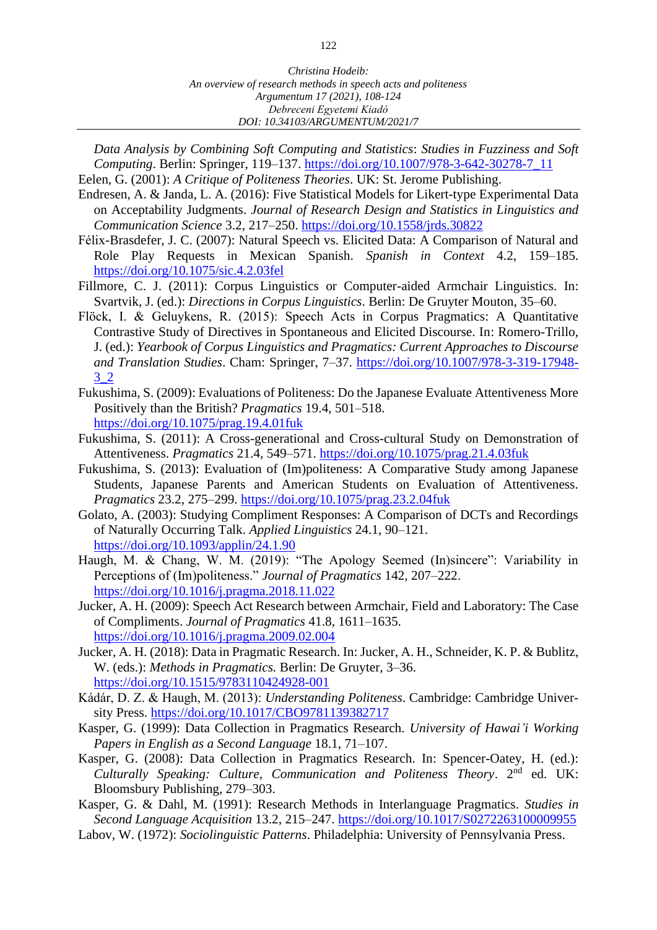*Data Analysis by Combining Soft Computing and Statistics*: *Studies in Fuzziness and Soft Computing*. Berlin: Springer, 119–137. [https://doi.org/10.1007/978-3-642-30278-7\\_11](https://doi.org/10.1007/978-3-642-30278-7_11)

- Eelen, G. (2001): *A Critique of Politeness Theories*. UK: St. Jerome Publishing. Endresen, A. & Janda, L. A. (2016): Five Statistical Models for Likert-type Experimental Data
- on Acceptability Judgments. *Journal of Research Design and Statistics in Linguistics and Communication Science* 3.2, 217–250.<https://doi.org/10.1558/jrds.30822>
- Félix-Brasdefer, J. C. (2007): Natural Speech vs. Elicited Data: A Comparison of Natural and Role Play Requests in Mexican Spanish. *Spanish in Context* 4.2, 159–185. <https://doi.org/10.1075/sic.4.2.03fel>
- Fillmore, C. J. (2011): Corpus Linguistics or Computer-aided Armchair Linguistics. In: Svartvik, J. (ed.): *Directions in Corpus Linguistics*. Berlin: De Gruyter Mouton, 35–60.
- Flöck, I. & Geluykens, R. (2015): Speech Acts in Corpus Pragmatics: A Quantitative Contrastive Study of Directives in Spontaneous and Elicited Discourse. In: Romero-Trillo, J. (ed.): *Yearbook of Corpus Linguistics and Pragmatics: Current Approaches to Discourse and Translation Studies*. Cham: Springer, 7–37. [https://doi.org/10.1007/978-3-319-17948-](https://doi.org/10.1007/978-3-319-17948-3_2) [3\\_2](https://doi.org/10.1007/978-3-319-17948-3_2)
- Fukushima, S. (2009): Evaluations of Politeness: Do the Japanese Evaluate Attentiveness More Positively than the British? *Pragmatics* 19.4, 501–518. <https://doi.org/10.1075/prag.19.4.01fuk>
- Fukushima, S. (2011): A Cross-generational and Cross-cultural Study on Demonstration of Attentiveness. *Pragmatics* 21.4, 549–571.<https://doi.org/10.1075/prag.21.4.03fuk>
- Fukushima, S. (2013): Evaluation of (Im)politeness: A Comparative Study among Japanese Students, Japanese Parents and American Students on Evaluation of Attentiveness. *Pragmatics* 23.2, 275–299.<https://doi.org/10.1075/prag.23.2.04fuk>
- Golato, A. (2003): Studying Compliment Responses: A Comparison of DCTs and Recordings of Naturally Occurring Talk. *Applied Linguistics* 24.1, 90–121. <https://doi.org/10.1093/applin/24.1.90>
- Haugh, M. & Chang, W. M. (2019): "The Apology Seemed (In)sincere": Variability in Perceptions of (Im)politeness." *Journal of Pragmatics* 142, 207–222. <https://doi.org/10.1016/j.pragma.2018.11.022>
- Jucker, A. H. (2009): Speech Act Research between Armchair, Field and Laboratory: The Case of Compliments. *Journal of Pragmatics* 41.8, 1611–1635. <https://doi.org/10.1016/j.pragma.2009.02.004>
- Jucker, A. H. (2018): Data in Pragmatic Research. In: Jucker, A. H., Schneider, K. P. & Bublitz, W. (eds.): *Methods in Pragmatics.* Berlin: De Gruyter, 3–36. <https://doi.org/10.1515/9783110424928-001>
- Kádár, D. Z. & Haugh, M. (2013): *Understanding Politeness*. Cambridge: Cambridge University Press.<https://doi.org/10.1017/CBO9781139382717>
- Kasper, G. (1999): Data Collection in Pragmatics Research. *University of Hawai'i Working Papers in English as a Second Language* 18.1, 71–107.
- Kasper, G. (2008): Data Collection in Pragmatics Research. In: Spencer-Oatey, H. (ed.): Culturally Speaking: Culture, Communication and Politeness Theory. 2<sup>nd</sup> ed. UK: Bloomsbury Publishing, 279–303.
- Kasper, G. & Dahl, M. (1991): Research Methods in Interlanguage Pragmatics. *Studies in Second Language Acquisition* 13.2, 215–247.<https://doi.org/10.1017/S0272263100009955>
- Labov, W. (1972): *Sociolinguistic Patterns*. Philadelphia: University of Pennsylvania Press.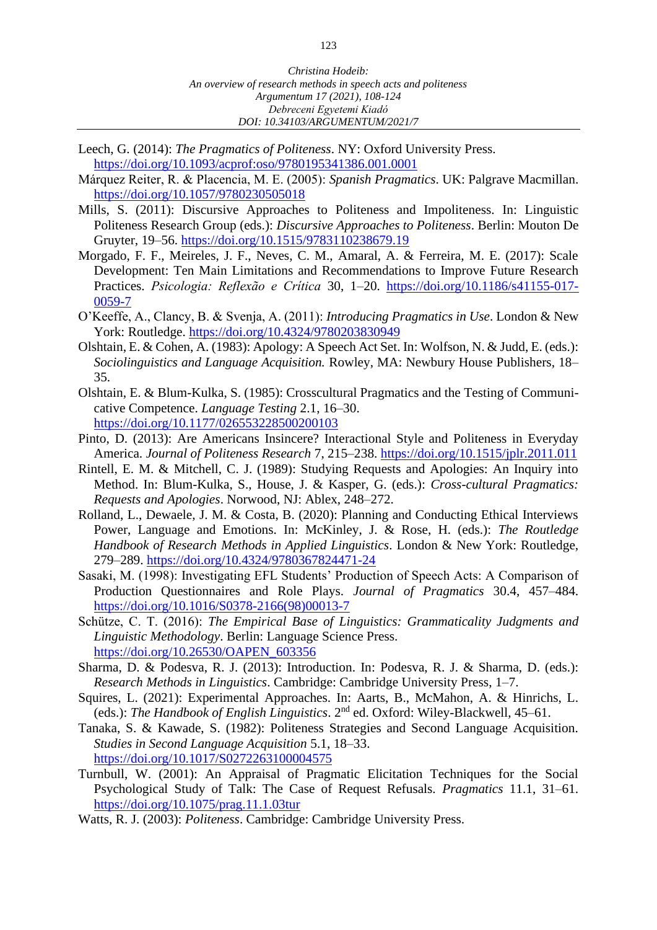- Leech, G. (2014): *The Pragmatics of Politeness*. NY: Oxford University Press. <https://doi.org/10.1093/acprof:oso/9780195341386.001.0001>
- Márquez Reiter, R. & Placencia, M. E. (2005): *Spanish Pragmatics*. UK: Palgrave Macmillan. <https://doi.org/10.1057/9780230505018>
- Mills, S. (2011): Discursive Approaches to Politeness and Impoliteness. In: Linguistic Politeness Research Group (eds.): *Discursive Approaches to Politeness*. Berlin: Mouton De Gruyter, 19–56. <https://doi.org/10.1515/9783110238679.19>
- Morgado, F. F., Meireles, J. F., Neves, C. M., Amaral, A. & Ferreira, M. E. (2017): Scale Development: Ten Main Limitations and Recommendations to Improve Future Research Practices. *Psicologia: Reflexão e Crítica* 30, 1–20. [https://doi.org/10.1186/s41155-017-](https://doi.org/10.1186/s41155-017-0059-7) [0059-7](https://doi.org/10.1186/s41155-017-0059-7)
- O'Keeffe, A., Clancy, B. & Svenja, A. (2011): *Introducing Pragmatics in Use*. London & New York: Routledge.<https://doi.org/10.4324/9780203830949>
- Olshtain, E. & Cohen, A. (1983): Apology: A Speech Act Set. In: Wolfson, N. & Judd, E. (eds.): *Sociolinguistics and Language Acquisition.* Rowley, MA: Newbury House Publishers, 18– 35.
- Olshtain, E. & Blum-Kulka, S. (1985): Crosscultural Pragmatics and the Testing of Communicative Competence. *Language Testing* 2.1, 16–30. <https://doi.org/10.1177/026553228500200103>
- Pinto, D. (2013): Are Americans Insincere? Interactional Style and Politeness in Everyday America. *Journal of Politeness Research* 7, 215–238.<https://doi.org/10.1515/jplr.2011.011>
- Rintell, E. M. & Mitchell, C. J. (1989): Studying Requests and Apologies: An Inquiry into Method. In: Blum-Kulka, S., House, J. & Kasper, G. (eds.): *Cross-cultural Pragmatics: Requests and Apologies*. Norwood, NJ: Ablex, 248–272.
- Rolland, L., Dewaele, J. M. & Costa, B. (2020): Planning and Conducting Ethical Interviews Power, Language and Emotions. In: McKinley, J. & Rose, H. (eds.): *The Routledge Handbook of Research Methods in Applied Linguistics*. London & New York: Routledge, 279–289.<https://doi.org/10.4324/9780367824471-24>
- Sasaki, M. (1998): Investigating EFL Students' Production of Speech Acts: A Comparison of Production Questionnaires and Role Plays. *Journal of Pragmatics* 30.4, 457–484. [https://doi.org/10.1016/S0378-2166\(98\)00013-7](https://doi.org/10.1016/S0378-2166(98)00013-7)
- Schütze, C. T. (2016): *The Empirical Base of Linguistics: Grammaticality Judgments and Linguistic Methodology*. Berlin: Language Science Press. [https://doi.org/10.26530/OAPEN\\_603356](https://doi.org/10.26530/OAPEN_603356)
- Sharma, D. & Podesva, R. J. (2013): Introduction. In: Podesva, R. J. & Sharma, D. (eds.): *Research Methods in Linguistics*. Cambridge: Cambridge University Press, 1–7.
- Squires, L. (2021): Experimental Approaches. In: Aarts, B., McMahon, A. & Hinrichs, L. (eds.): The Handbook of English Linguistics. 2<sup>nd</sup> ed. Oxford: Wiley-Blackwell, 45-61.
- Tanaka, S. & Kawade, S. (1982): Politeness Strategies and Second Language Acquisition. *Studies in Second Language Acquisition* 5.1, 18–33. <https://doi.org/10.1017/S0272263100004575>
- Turnbull, W. (2001): An Appraisal of Pragmatic Elicitation Techniques for the Social Psychological Study of Talk: The Case of Request Refusals. *Pragmatics* 11.1, 31–61. <https://doi.org/10.1075/prag.11.1.03tur>
- Watts, R. J. (2003): *Politeness*. Cambridge: Cambridge University Press.